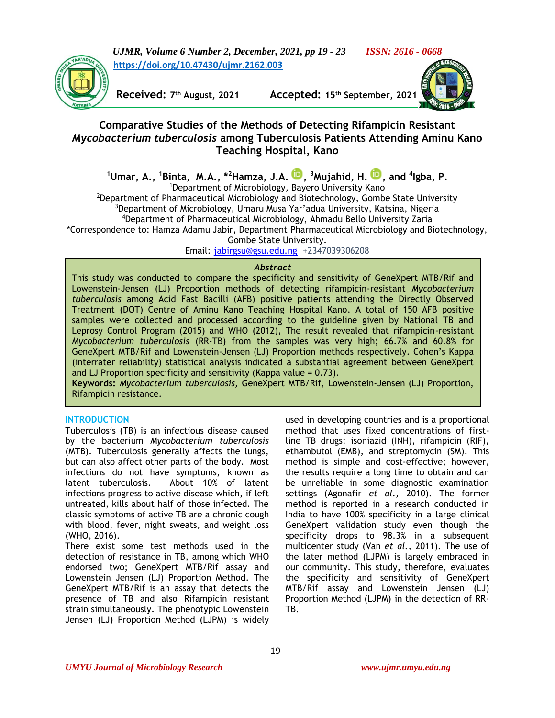

*UJMR, Volume 6 Number 2, December, 2021, pp 19 - 23 ISSN: 2616 - 0668* **[https://doi.org/10.47430/ujmr.2162.003](https://doi.org/10.47430/ujmr.2162.001)**

**Received: 7**

**th August, 2021 Accepted: 15th September, 2021**



# **Comparative Studies of the Methods of Detecting Rifampicin Resistant**  *Mycobacterium tuberculosis* **among Tuberculosis Patients Attending Aminu Kano Teaching Hospital, Kano**

**<sup>1</sup>Umar, A., <sup>1</sup>Binta, M.A., \*<sup>2</sup>Hamza, J.A. [,](https://orcid.org/0000-0002-8373-7299) <sup>3</sup>Mujahid, H. [,](https://orcid.org/0000-0002-9725-620X) and 4 Igba, P.**

<sup>1</sup>Department of Microbiology, Bayero University Kano

<sup>2</sup>Department of Pharmaceutical Microbiology and Biotechnology, Gombe State University <sup>3</sup>Department of Microbiology, Umaru Musa Yar'adua University, Katsina, Nigeria

<sup>4</sup>Department of Pharmaceutical Microbiology, Ahmadu Bello University Zaria

\*Correspondence to: Hamza Adamu Jabir, Department Pharmaceutical Microbiology and Biotechnology, Gombe State University.

Email: [jabirgsu@gsu.edu.ng](mailto:jabirgsu@gsu.edu.ng) +2347039306208

### *Abstract*

This study was conducted to compare the specificity and sensitivity of GeneXpert MTB/Rif and Lowenstein-Jensen (LJ) Proportion methods of detecting rifampicin-resistant *Mycobacterium tuberculosis* among Acid Fast Bacilli (AFB) positive patients attending the Directly Observed Treatment (DOT) Centre of Aminu Kano Teaching Hospital Kano. A total of 150 AFB positive samples were collected and processed according to the guideline given by National TB and Leprosy Control Program (2015) and WHO (2012), The result revealed that rifampicin-resistant *Mycobacterium tuberculosis* (RR-TB) from the samples was very high; 66.7% and 60.8% for GeneXpert MTB/Rif and Lowenstein-Jensen (LJ) Proportion methods respectively. Cohen's Kappa (interrater reliability) statistical analysis indicated a substantial agreement between GeneXpert and LJ Proportion specificity and sensitivity (Kappa value  $= 0.73$ ).

**Keywords:** *Mycobacterium tuberculosis,* GeneXpert MTB/Rif, Lowenstein-Jensen (LJ) Proportion, Rifampicin resistance.

## **INTRODUCTION**

Tuberculosis (TB) is an infectious disease caused by the bacterium *Mycobacterium tuberculosis* (MTB). Tuberculosis generally affects the lungs, but can also affect other parts of the body. Most infections do not have symptoms, known as latent tuberculosis. About 10% of latent infections progress to active disease which, if left untreated, kills about half of those infected. The classic symptoms of active TB are a chronic cough with blood, fever, night sweats, and weight loss (WHO, 2016).

There exist some test methods used in the detection of resistance in TB, among which WHO endorsed two; GeneXpert MTB/Rif assay and Lowenstein Jensen (LJ) Proportion Method. The GeneXpert MTB/Rif is an assay that detects the presence of TB and also Rifampicin resistant strain simultaneously. The phenotypic Lowenstein Jensen (LJ) Proportion Method (LJPM) is widely

used in developing countries and is a proportional method that uses fixed concentrations of firstline TB drugs: isoniazid (INH), rifampicin (RIF), ethambutol (EMB), and streptomycin (SM). This method is simple and cost-effective; however, the results require a long time to obtain and can be unreliable in some diagnostic examination settings (Agonafir *et al.,* 2010). The former method is reported in a research conducted in India to have 100% specificity in a large clinical GeneXpert validation study even though the specificity drops to 98.3% in a subsequent multicenter study (Van *et al.,* 2011). The use of the later method (LJPM) is largely embraced in our community. This study, therefore, evaluates the specificity and sensitivity of GeneXpert MTB/Rif assay and Lowenstein Jensen (LJ) Proportion Method (LJPM) in the detection of RR-TB.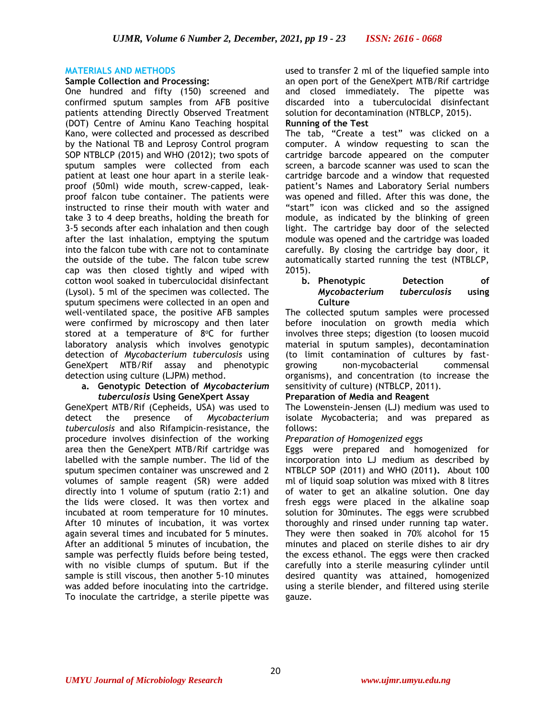### **MATERIALS AND METHODS**

### **Sample Collection and Processing:**

One hundred and fifty (150) screened and confirmed sputum samples from AFB positive patients attending Directly Observed Treatment (DOT) Centre of Aminu Kano Teaching hospital Kano, were collected and processed as described by the National TB and Leprosy Control program SOP NTBLCP (2015) and WHO (2012); two spots of sputum samples were collected from each patient at least one hour apart in a sterile leakproof (50ml) wide mouth, screw-capped, leakproof falcon tube container. The patients were instructed to rinse their mouth with water and take 3 to 4 deep breaths, holding the breath for 3-5 seconds after each inhalation and then cough after the last inhalation, emptying the sputum into the falcon tube with care not to contaminate the outside of the tube. The falcon tube screw cap was then closed tightly and wiped with cotton wool soaked in tuberculocidal disinfectant (Lysol). 5 ml of the specimen was collected. The sputum specimens were collected in an open and well-ventilated space, the positive AFB samples were confirmed by microscopy and then later stored at a temperature of 8°C for further laboratory analysis which involves genotypic detection of *Mycobacterium tuberculosis* using GeneXpert MTB/Rif assay and phenotypic detection using culture (LJPM) method.

#### **a. Genotypic Detection of** *Mycobacterium tuberculosis* **Using GeneXpert Assay**

GeneXpert MTB/Rif (Cepheids, USA) was used to detect the presence of *Mycobacterium tuberculosis* and also Rifampicin-resistance*,* the procedure involves disinfection of the working area then the GeneXpert MTB/Rif cartridge was labelled with the sample number. The lid of the sputum specimen container was unscrewed and 2 volumes of sample reagent (SR) were added directly into 1 volume of sputum (ratio 2:1) and the lids were closed. It was then vortex and incubated at room temperature for 10 minutes. After 10 minutes of incubation, it was vortex again several times and incubated for 5 minutes. After an additional 5 minutes of incubation, the sample was perfectly fluids before being tested, with no visible clumps of sputum. But if the sample is still viscous, then another 5-10 minutes was added before inoculating into the cartridge. To inoculate the cartridge, a sterile pipette was

used to transfer 2 ml of the liquefied sample into an open port of the GeneXpert MTB/Rif cartridge and closed immediately. The pipette was discarded into a tuberculocidal disinfectant solution for decontamination (NTBLCP, 2015).

### **Running of the Test**

The tab, "Create a test" was clicked on a computer. A window requesting to scan the cartridge barcode appeared on the computer screen, a barcode scanner was used to scan the cartridge barcode and a window that requested patient's Names and Laboratory Serial numbers was opened and filled. After this was done, the "start" icon was clicked and so the assigned module, as indicated by the blinking of green light. The cartridge bay door of the selected module was opened and the cartridge was loaded carefully. By closing the cartridge bay door, it automatically started running the test (NTBLCP, 2015).

### **b. Phenotypic Detection of**  *Mycobacterium tuberculosis* **using Culture**

The collected sputum samples were processed before inoculation on growth media which involves three steps; digestion (to loosen mucoid material in sputum samples), decontamination (to limit contamination of cultures by fastgrowing non-mycobacterial commensal organisms), and concentration (to increase the sensitivity of culture) (NTBLCP, 2011).

### **Preparation of Media and Reagent**

The Lowenstein-Jensen (LJ) medium was used to isolate Mycobacteria; and was prepared as follows:

### *Preparation of Homogenized eggs*

Eggs were prepared and homogenized for incorporation into LJ medium as described by NTBLCP SOP (2011) and WHO (2011**).** About 100 ml of liquid soap solution was mixed with 8 litres of water to get an alkaline solution. One day fresh eggs were placed in the alkaline soap solution for 30minutes. The eggs were scrubbed thoroughly and rinsed under running tap water. They were then soaked in 70% alcohol for 15 minutes and placed on sterile dishes to air dry the excess ethanol. The eggs were then cracked carefully into a sterile measuring cylinder until desired quantity was attained, homogenized using a sterile blender, and filtered using sterile gauze.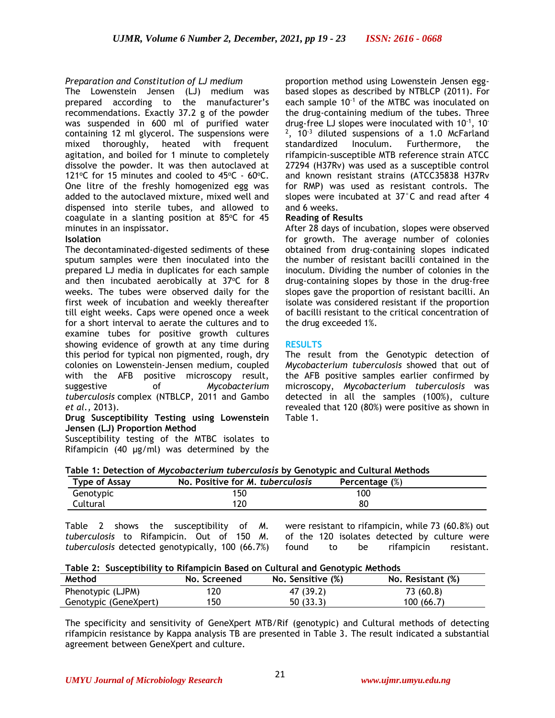### *Preparation and Constitution of LJ medium*

The Lowenstein Jensen (LJ) medium was prepared according to the manufacturer's recommendations. Exactly 37.2 g of the powder was suspended in 600 ml of purified water containing 12 ml glycerol. The suspensions were mixed thoroughly, heated with frequent agitation, and boiled for 1 minute to completely dissolve the powder. It was then autoclaved at 121 $\degree$ C for 15 minutes and cooled to 45 $\degree$ C - 60 $\degree$ C. One litre of the freshly homogenized egg was added to the autoclaved mixture, mixed well and dispensed into sterile tubes, and allowed to coagulate in a slanting position at  $85^{\circ}$ C for 45 minutes in an inspissator.

### **Isolation**

The decontaminated-digested sediments of these sputum samples were then inoculated into the prepared LJ media in duplicates for each sample and then incubated aerobically at  $37^{\circ}$ C for 8 weeks. The tubes were observed daily for the first week of incubation and weekly thereafter till eight weeks. Caps were opened once a week for a short interval to aerate the cultures and to examine tubes for positive growth cultures showing evidence of growth at any time during this period for typical non pigmented, rough, dry colonies on Lowenstein-Jensen medium, coupled with the AFB positive microscopy result, suggestive of *Mycobacterium tuberculosis* complex (NTBLCP, 2011 and Gambo *et al.,* 2013).

### **Drug Susceptibility Testing using Lowenstein Jensen (LJ) Proportion Method**

Susceptibility testing of the MTBC isolates to Rifampicin (40 μg/ml) was determined by the

proportion method using Lowenstein Jensen eggbased slopes as described by NTBLCP (2011). For each sample 10<sup>-1</sup> of the MTBC was inoculated on the drug-containing medium of the tubes. Three drug-free LJ slopes were inoculated with  $10^{-1}$ ,  $10^{-1}$  $2^2$ , 10<sup>-3</sup> diluted suspensions of a 1.0 McFarland standardized Inoculum. Furthermore, the rifampicin-susceptible MTB reference strain ATCC 27294 (H37Rv) was used as a susceptible control and known resistant strains (ATCC35838 H37Rv for RMP) was used as resistant controls. The slopes were incubated at 37°C and read after 4 and 6 weeks.

### **Reading of Results**

After 28 days of incubation, slopes were observed for growth. The average number of colonies obtained from drug-containing slopes indicated the number of resistant bacilli contained in the inoculum. Dividing the number of colonies in the drug-containing slopes by those in the drug-free slopes gave the proportion of resistant bacilli. An isolate was considered resistant if the proportion of bacilli resistant to the critical concentration of the drug exceeded 1%.

### **RESULTS**

The result from the Genotypic detection of *Mycobacterium tuberculosis* showed that out of the AFB positive samples earlier confirmed by microscopy, *Mycobacterium tuberculosis* was detected in all the samples (100%), culture revealed that 120 (80%) were positive as shown in Table 1.

| Table 1: Detection of <i>Mycobacterium tuberculosis</i> by Genotypic and Cultural Methods |  |  |
|-------------------------------------------------------------------------------------------|--|--|

| <b>Type of Assay</b> | No. Positive for M. tuberculosis | Percentage (%) |  |
|----------------------|----------------------------------|----------------|--|
| Genotypic            | '50                              | 100            |  |
| Cultural             | 20                               | 80             |  |

Table 2 shows the susceptibility of *M. tuberculosis* to Rifampicin. Out of 150 *M. tuberculosis* detected genotypically, 100 (66.7%) were resistant to rifampicin, while 73 (60.8%) out of the 120 isolates detected by culture were found to be rifampicin resistant.

| Table 2: Susceptibility to Rifampicin Based on Cultural and Genotypic Methods |
|-------------------------------------------------------------------------------|
|-------------------------------------------------------------------------------|

| Method                | No. Screened | No. Sensitive (%) | No. Resistant (%) |
|-----------------------|--------------|-------------------|-------------------|
| Phenotypic (LJPM)     | 120          | 47 (39.2)         | 73 (60.8)         |
| Genotypic (GeneXpert) | 150          | 50(33.3)          | 100(66.7)         |

The specificity and sensitivity of GeneXpert MTB/Rif (genotypic) and Cultural methods of detecting rifampicin resistance by Kappa analysis TB are presented in Table 3. The result indicated a substantial agreement between GeneXpert and culture.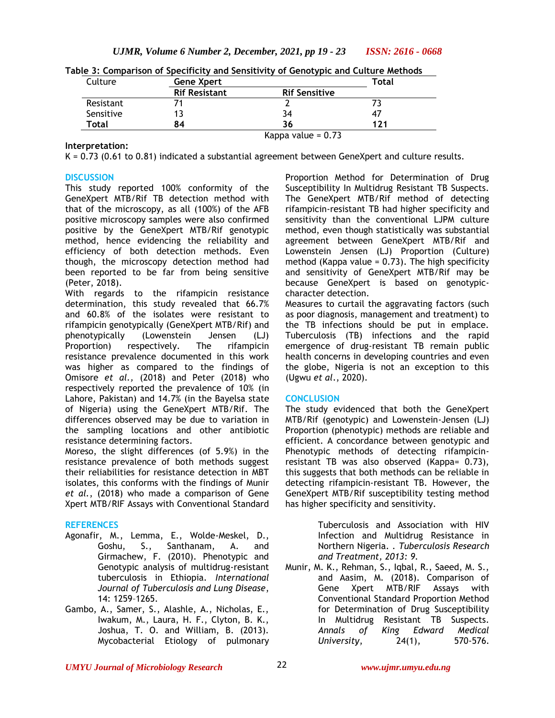| Culture   | <b>Gene Xpert</b>    |                      | Total |
|-----------|----------------------|----------------------|-------|
|           | <b>Rif Resistant</b> | <b>Rif Sensitive</b> |       |
| Resistant |                      |                      |       |
| Sensitive |                      | 34                   |       |
| Total     | 84                   | 36                   | 121   |

**Table 3: Comparison of Specificity and Sensitivity of Genotypic and Culture Methods**

# **Interpretation:**

Kappa value =  $0.73$ 

K = 0.73 (0.61 to 0.81) indicated a substantial agreement between GeneXpert and culture results.

### **DISCUSSION**

This study reported 100% conformity of the GeneXpert MTB/Rif TB detection method with that of the microscopy, as all (100%) of the AFB positive microscopy samples were also confirmed positive by the GeneXpert MTB/Rif genotypic method, hence evidencing the reliability and efficiency of both detection methods. Even though, the microscopy detection method had been reported to be far from being sensitive (Peter, 2018).

With regards to the rifampicin resistance determination, this study revealed that 66.7% and 60.8% of the isolates were resistant to rifampicin genotypically (GeneXpert MTB/Rif) and phenotypically (Lowenstein Jensen (LJ) Proportion) respectively. The rifampicin resistance prevalence documented in this work was higher as compared to the findings of Omisore *et al.,* (2018) and Peter (2018) who respectively reported the prevalence of 10% (in Lahore, Pakistan) and 14.7% (in the Bayelsa state of Nigeria) using the GeneXpert MTB/Rif. The differences observed may be due to variation in the sampling locations and other antibiotic resistance determining factors.

Moreso, the slight differences (of 5.9%) in the resistance prevalence of both methods suggest their reliabilities for resistance detection in MBT isolates, this conforms with the findings of Munir *et al.*, (2018) who made a comparison of Gene Xpert MTB/RIF Assays with Conventional Standard

### **REFERENCES**

- Agonafir, M., Lemma, E., Wolde-Meskel, D., Goshu, S., Santhanam, A. and Girmachew, F. (2010). Phenotypic and Genotypic analysis of multidrug-resistant tuberculosis in Ethiopia*. International Journal of Tuberculosis and Lung Disease*, 14: 1259–1265.
- Gambo, A., Samer, S., Alashle, A., Nicholas, E., Iwakum, M., Laura, H. F., Clyton, B. K., Joshua, T. O. and William, B. (2013). Mycobacterial Etiology of pulmonary

Proportion Method for Determination of Drug Susceptibility In Multidrug Resistant TB Suspects. The GeneXpert MTB/Rif method of detecting rifampicin-resistant TB had higher specificity and sensitivity than the conventional LJPM culture method, even though statistically was substantial agreement between GeneXpert MTB/Rif and Lowenstein Jensen (LJ) Proportion (Culture) method (Kappa value =  $0.73$ ). The high specificity and sensitivity of GeneXpert MTB/Rif may be because GeneXpert is based on genotypiccharacter detection.

Measures to curtail the aggravating factors (such as poor diagnosis, management and treatment) to the TB infections should be put in emplace. Tuberculosis (TB) infections and the rapid emergence of drug-resistant TB remain public health concerns in developing countries and even the globe, Nigeria is not an exception to this (Ugwu *et al*., 2020).

### **CONCLUSION**

The study evidenced that both the GeneXpert MTB/Rif (genotypic) and Lowenstein-Jensen (LJ) Proportion (phenotypic) methods are reliable and efficient. A concordance between genotypic and Phenotypic methods of detecting rifampicinresistant TB was also observed (Kappa= 0.73), this suggests that both methods can be reliable in detecting rifampicin-resistant TB. However, the GeneXpert MTB/Rif susceptibility testing method has higher specificity and sensitivity.

> Tuberculosis and Association with HIV Infection and Multidrug Resistance in Northern Nigeria. . *Tuberculosis Research and Treatment, 2013: 9.*

Munir, M. K., Rehman, S., Iqbal, R., Saeed, M. S., and Aasim, M. (2018). Comparison of Gene Xpert MTB/RIF Assays with Conventional Standard Proportion Method for Determination of Drug Susceptibility In Multidrug Resistant TB Suspects. *Annals of King Edward Medical University*, 24(1), 570-576.